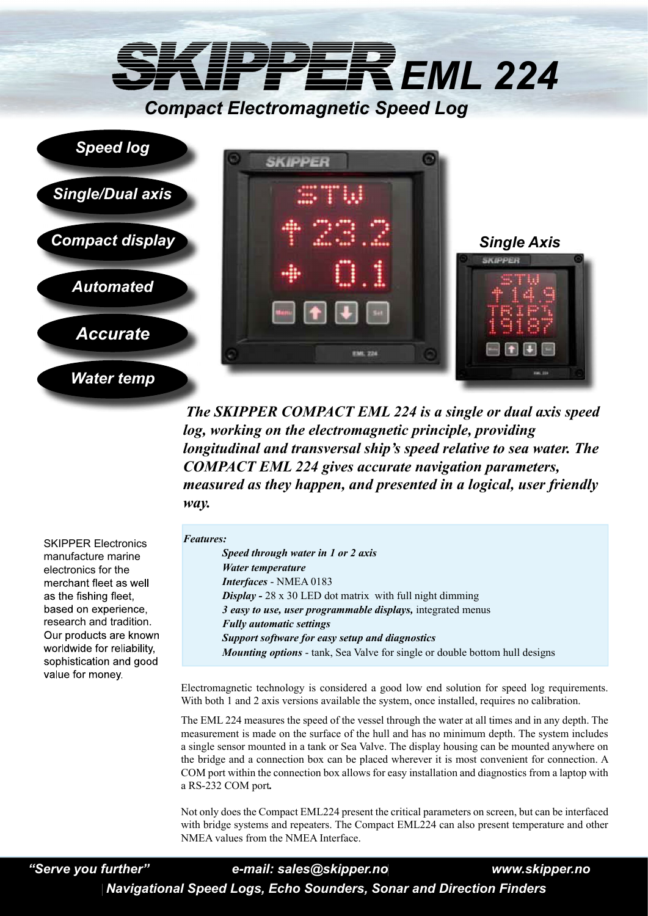## *EML 224 Compact Electromagnetic Speed Log*





*The SKIPPER COMPACT EML 224 is a single or dual axis speed log, working on the electromagnetic principle, providing longitudinal and transversal ship's speed relative to sea water. The COMPACT EML 224 gives accurate navigation parameters, measured as they happen, and presented in a logical, user friendly way.* 

SKIPPER Electronics manufacture marine electronics for the merchant fleet as well as the fishing fleet. based on experience, research and tradition. Our products are known worldwide for reliability, sophistication and good value for monev

## *Features:*

*Speed through water in 1 or 2 axis Water temperature Interfaces* - NMEA 0183 *Display -* 28 x 30 LED dot matrix with full night dimming *3 easy to use, user programmable displays,* integrated menus *Fully automatic settings Support software for easy setup and diagnostics Mounting options* - tank, Sea Valve for single or double bottom hull designs

Electromagnetic technology is considered a good low end solution for speed log requirements. With both 1 and 2 axis versions available the system, once installed, requires no calibration.

The EML 224 measures the speed of the vessel through the water at all times and in any depth. The measurement is made on the surface of the hull and has no minimum depth. The system includes a single sensor mounted in a tank or Sea Valve. The display housing can be mounted anywhere on the bridge and a connection box can be placed wherever it is most convenient for connection. A COM port within the connection box allows for easy installation and diagnostics from a laptop with a RS-232 COM port*.* 

Not only does the Compact EML224 present the critical parameters on screen, but can be interfaced with bridge systems and repeaters. The Compact EML224 can also present temperature and other NMEA values from the NMEA Interface.